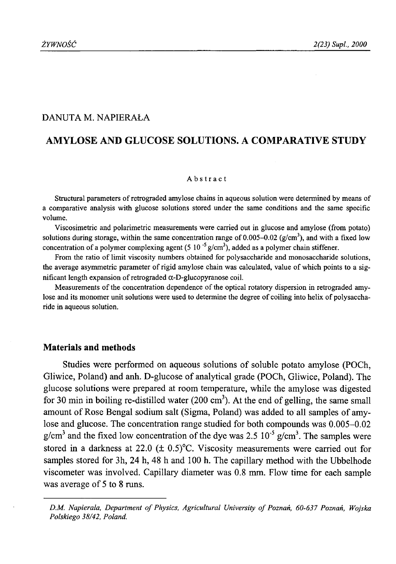## DANUTA M. NAPIERAŁA

# **AMYLOSE AND GLUCOSE SOLUTIONS. A COMPARATIVE STUDY**

#### Abstract

Structural parameters of retrograded amylose chains in aqueous solution were determined by means of a comparative analysis with glucose solutions stored under the same conditions and the same specific volume.

Viscosimetric and polarimetric measurements were carried out in glucose and amylose (from potato) solutions during storage, within the same concentration range of 0.005–0.02 ( $g/cm<sup>3</sup>$ ), and with a fixed low concentration of a polymer complexing agent (5 10<sup>-5</sup> g/cm<sup>3</sup>), added as a polymer chain stiffener.

From the ratio of limit viscosity numbers obtained for polysaccharide and monosaccharide solutions, the average asymmetric parameter of rigid amylose chain was calculated, value of which points to a significant length expansion of retrograded  $\alpha$ -D-glucopyranose coil.

Measurements of the concentration dependence of the optical rotatory dispersion in retrograded amylose and its monomer unit solutions were used to determine the degree of coiling into helix of polysaccharide in aqueous solution.

## **Materials and methods**

Studies were performed on aqueous solutions of soluble potato amylose (POCh, Gliwice, Poland) and anh. D-glucose of analytical grade (POCh, Gliwice, Poland). The glucose solutions were prepared at room temperature, while the amylose was digested for 30 min in boiling re-distilled water  $(200 \text{ cm}^3)$ . At the end of gelling, the same small amount of Rose Bengal sodium salt (Sigma, Poland) was added to all samples of amylose and glucose. The concentration range studied for both compounds was 0.005-0.02  $g/cm<sup>3</sup>$  and the fixed low concentration of the dye was 2.5 10<sup>-5</sup> g/cm<sup>3</sup>. The samples were stored in a darkness at 22.0 ( $\pm$  0.5)<sup>o</sup>C. Viscosity measurements were carried out for samples stored for 3h, 24 h, 48 h and 100 h. The capillary method with the Ubbelhode viscometer was involved. Capillary diameter was 0.8 mm. Flow time for each sample was average of 5 to 8 runs.

*DM . Napierała, Department o f Physics, Agricultural University o f Poznań, 60-637 Poznań, Wojska Polskiego 38/42, Poland.*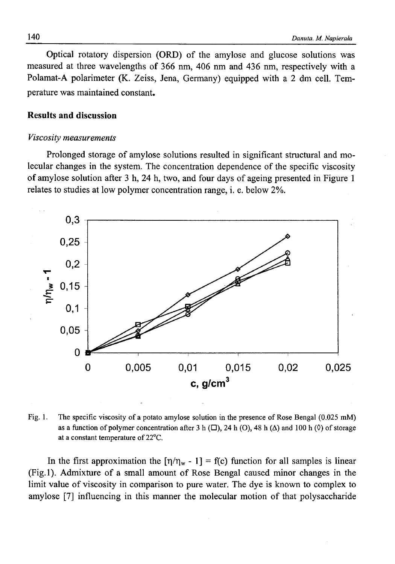Optical rotatory dispersion (ORD) of the amylose and glucose solutions was measured at three wavelengths of 366 nm, 406 nm and 436 nm, respectively with a Polamat-A polarimeter (K. Zeiss, Jena, Germany) equipped with a 2 dm cell. Temperature was maintained constant.

## **Results and discussion**

#### *Viscosity measurements*

Prolonged storage of amylose solutions resulted in significant structural and molecular changes in the system. The concentration dependence of the specific viscosity of amylose solution after 3 h, 24 h, two, and four days of ageing presented in Figure 1 relates to studies at low polymer concentration range, i. e. below 2%.



Fig. 1. The specific viscosity of a potato amylose solution in the presence of Rose Bengal (0.025 mM) as a function of polymer concentration after 3 h  $(\square)$ , 24 h  $(\triangle)$ , 48 h  $(\triangle)$  and 100 h  $(\lozenge)$  of storage at a constant temperature of 22°C.

In the first approximation the  $[\eta/\eta_w - 1] = f(c)$  function for all samples is linear (Fig.l). Admixture of a small amount of Rose Bengal caused minor changes in the limit value of viscosity in comparison to pure water. The dye is known to complex to amylose [7] influencing in this manner the molecular motion of that polysaccharide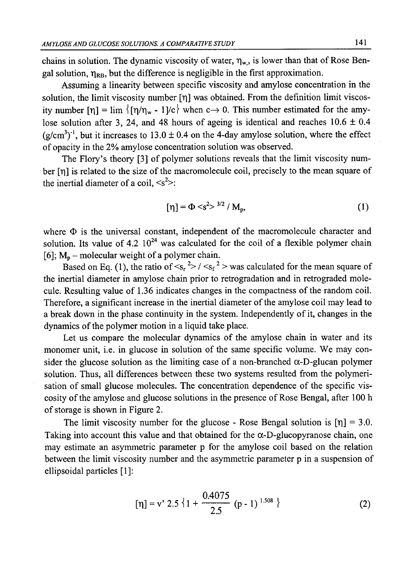chains in solution. The dynamic viscosity of water,  $\eta_w$ , is lower than that of Rose Bengal solution,  $\eta_{RB}$ , but the difference is negligible in the first approximation.

Assuming a linearity between specific viscosity and amylose concentration in the solution, the limit viscosity number  $[\eta]$  was obtained. From the definition limit viscosity number  $[\eta] = \lim_{k \to \infty} \{ [\eta/\eta_w - 1]/c \}$  when  $c \to 0$ . This number estimated for the amylose solution after 3, 24, and 48 hours of ageing is identical and reaches  $10.6 \pm 0.4$  $(g/cm<sup>3</sup>)<sup>-1</sup>$ , but it increases to 13.0 ± 0.4 on the 4-day amylose solution, where the effect of opacity in the 2% amylose concentration solution was observed.

The Flory's theory [3] of polymer solutions reveals that the limit viscosity number [n] is related to the size of the macromolecule coil, precisely to the mean square of the inertial diameter of a coil,  $\langle s^2 \rangle$ :

$$
[\eta] = \Phi \langle s^2 \rangle^{3/2} / M_p, \tag{1}
$$

where  $\Phi$  is the universal constant, independent of the macromolecule character and solution. Its value of 4.2  $10^{24}$  was calculated for the coil of a flexible polymer chain [6];  $M_p$  – molecular weight of a polymer chain.

Based on Eq. (1), the ratio of  $\langle s_r^2 \rangle / \langle s_f^2 \rangle$  was calculated for the mean square of the inertial diameter in amylose chain prior to retrogradation and in retrograded molecule. Resulting value of 1.36 indicates changes in the compactness of the random coil. Therefore, a significant increase in the inertial diameter of the amylose coil may lead to a break down in the phase continuity in the system. Independently of it, changes in the dynamics of the polymer motion in a liquid take place.

Let us compare the molecular dynamics of the amylose chain in water and its monomer unit, i.e. in glucose in solution of the same specific volume. We may consider the glucose solution as the limiting case of a non-branched  $\alpha$ -D-glucan polymer solution. Thus, all differences between these two systems resulted from the polymerisation of small glucose molecules. The concentration dependence of the specific viscosity of the amylose and glucose solutions in the presence of Rose Bengal, after 100 h of storage is shown in Figure 2.

The limit viscosity number for the glucose - Rose Bengal solution is  $[\eta] = 3.0$ . Taking into account this value and that obtained for the  $\alpha$ -D-glucopyranose chain, one may estimate an asymmetric parameter p for the amylose coil based on the relation between the limit viscosity number and the asymmetric parameter p in a suspension of ellipsoidal particles [1]:

$$
[\eta] = v^2 \cdot 2.5 \left\{ 1 + \frac{0.4075}{2.5} \left( p - 1 \right)^{1.508} \right\} \tag{2}
$$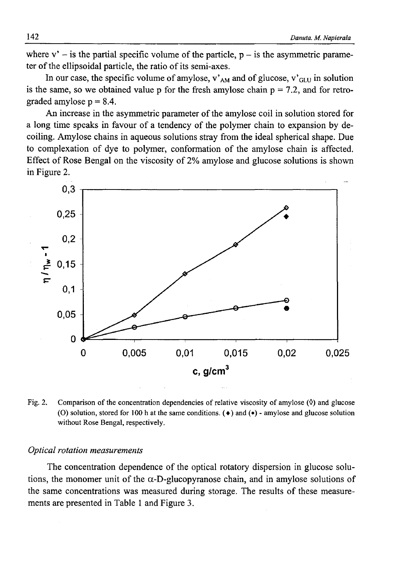where  $v'$  – is the partial specific volume of the particle,  $p - is$  the asymmetric parameter of the ellipsoidal particle, the ratio of its semi-axes.

In our case, the specific volume of amylose, v' $_{AM}$  and of glucose, v' $_{GLU}$  in solution is the same, so we obtained value p for the fresh amylose chain  $p = 7.2$ , and for retrograded amylose  $p = 8.4$ .

An increase in the asymmetric parameter of the amylose coil in solution stored for a long time speaks in favour of a tendency of the polymer chain to expansion by decoiling. Amylose chains in aqueous solutions stray from the ideal spherical shape. Due to complexation of dye to polymer, conformation of the amylose chain is affected. Effect of Rose Bengal on the viscosity of 2% amylose and glucose solutions is shown in Figure 2.



Fig. 2. Comparison of the concentration dependencies of relative viscosity of amylose (0) and glucose (O) solution, stored for 100 h at the same conditions.  $(\bullet)$  and  $(\bullet)$  - amylose and glucose solution without Rose Bengal, respectively.

### *Optical rotation measurements*

The concentration dependence of the optical rotatory dispersion in glucose solutions, the monomer unit of the  $\alpha$ -D-glucopyranose chain, and in amylose solutions of the same concentrations was measured during storage. The results of these measurements are presented in Table 1 and Figure 3.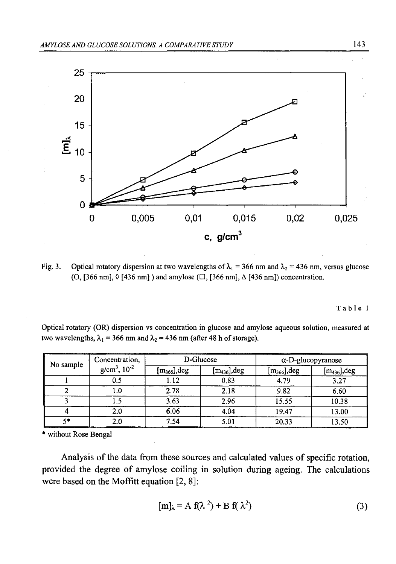

Fig. 3. Optical rotatory dispersion at two wavelengths of  $\lambda_1 = 366$  nm and  $\lambda_2 = 436$  nm, versus glucose (O, [366 nm],  $\Diamond$  [436 nm]) and amylose ( $\Box$ , [366 nm],  $\triangle$  [436 nm]) concentration.

Table 1

Optical rotatory (OR) dispersion vs concentration in glucose and amylose aqueous solution, measured at two wavelengths,  $\lambda_1 = 366$  nm and  $\lambda_2 = 436$  nm (after 48 h of storage).

| No sample | Concentration.<br>$g/cm^3$ , $10^{-2}$ | D-Glucose      |                   | and the company of the company of the company of the company of the company of the company of the company of the<br>$\alpha$ -D-glucopyranose |                         |
|-----------|----------------------------------------|----------------|-------------------|-----------------------------------------------------------------------------------------------------------------------------------------------|-------------------------|
|           |                                        | $[m366]$ , deg | $[m_{436}]$ , deg | $[m_{366}]$ , deg                                                                                                                             | $\rm [m_{436}],\rm deg$ |
|           |                                        | .12            | 0.83              | 4.79                                                                                                                                          | 3.27                    |
|           |                                        | 2.78           | 2.18              | 9.82                                                                                                                                          | 6.60                    |
|           |                                        | 3.63           | 2.96              | 15.55                                                                                                                                         | 10.38                   |
|           |                                        | 6.06           | 4.04              | 19.47                                                                                                                                         | 13.00                   |
| C in      | _______                                | 7.54           | ____              | 20.33<br>and the contract of the contract of the contract of the contract of the contract of the contract of the contract of                  | 13.50                   |

\* without Rose Bengal

Analysis of the data from these sources and calculated values of specific rotation, provided the degree of amylose coiling in solution during ageing. The calculations were based on the Moffitt equation [2, 8]:

$$
[m]_{\lambda} = A f(\lambda^2) + B f(\lambda^2)
$$
 (3)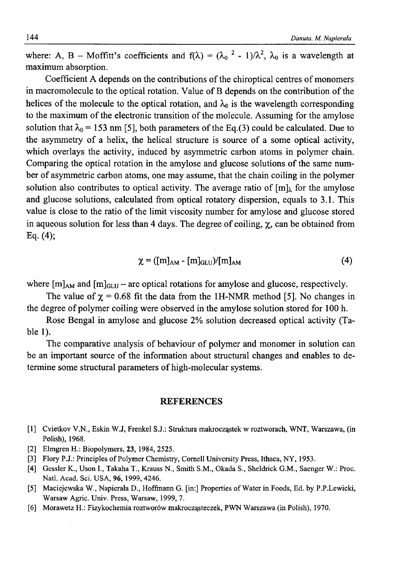where: A, B – Moffitt's coefficients and  $f(\lambda) = (\lambda_0^2 - 1)/\lambda^2$ ,  $\lambda_0$  is a wavelength at maximum absorption.

Coefficient A depends on the contributions of the chiroptical centres of monomers in macromolecule to the optical rotation. Value of B depends on the contribution of the helices of the molecule to the optical rotation, and  $\lambda_0$  is the wavelength corresponding to the maximum of the electronic transition of the molecule. Assuming for the amylose solution that  $\lambda_0 = 153$  nm [5], both parameters of the Eq.(3) could be calculated. Due to the asymmetry of a helix, the helical structure is source of a some optical activity, which overlays the activity, induced by asymmetric carbon atoms in polymer chain. Comparing the optical rotation in the amylose and glucose solutions of the same number of asymmetric carbon atoms, one may assume, that the chain coiling in the polymer solution also contributes to optical activity. The average ratio of  $[m]_k$  for the amylose and glucose solutions, calculated from optical rotatory dispersion, equals to 3.1. This value is close to the ratio of the limit viscosity number for amylose and glucose stored in aqueous solution for less than 4 days. The degree of coiling,  $\chi$ , can be obtained from Eq. (4);

$$
\chi = ([m]_{AM} - [m]_{GLU})/[m]_{AM}
$$
 (4)

where  $[m]_{AM}$  and  $[m]_{GLU}$  – are optical rotations for amylose and glucose, respectively.

The value of  $\chi = 0.68$  fit the data from the 1H-NMR method [5]. No changes in the degree of polymer coiling were observed in the amylose solution stored for 100 h.

Rose Bengal in amylose and glucose 2% solution decreased optical activity (Table 1).

The comparative analysis of behaviour of polymer and monomer in solution can be an important source of the information about structural changes and enables to determine some structural parameters of high-molecular systems.

## REFERENCES

- [1] Cvietkov V.N., Eskin W.J, Frenkel S.J.: Struktura makrocząstek w roztworach, WNT, Warszawa, (in Polish), 1968.
- [2] Elmgren H.: Biopolymers, 23, 1984, 2525.
- [3] Flory P.J.: Principles of Polymer Chemistry, Cornell University Press, Ithaca, NY, 1953.
- [4] Gessler K., Uson I., Takaha T., Krauss N., Smith S.M., Okada S., Sheldrick G.M., Saenger W.: Proc. Natl. Acad. Sci. USA, 96, 1999, 4246.
- [5] Maciejewska W., Napierała D., Hoffmann G. [in:] Properties of Water in Foods, Ed. by P.P.Lewicki, Warsaw Agric. Univ. Press, Warsaw, 1999, 7.
- [6] Morawetz H.: Fizykochemia roztworów makrocząsteczek, PWN Warszawa (in Polish), 1970.